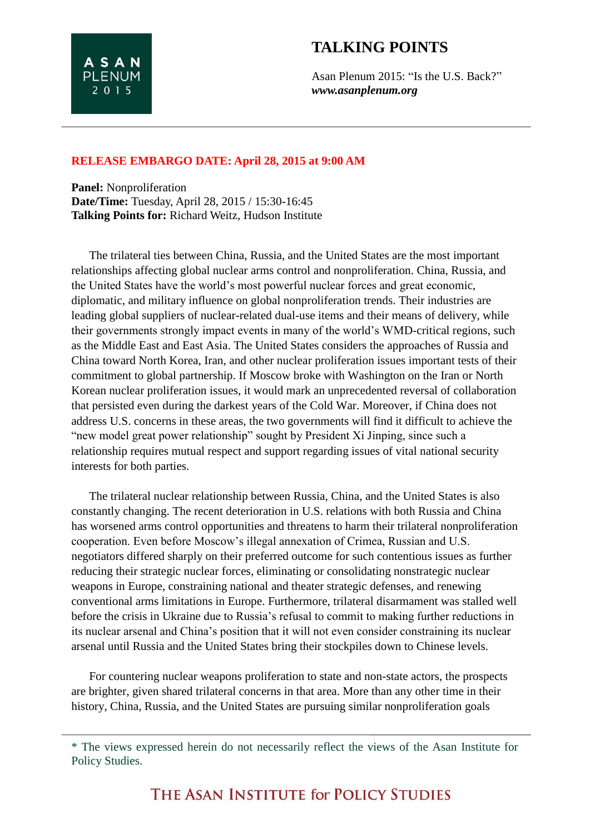## **TALKING POINTS**

Asan Plenum 2015: "Is the U.S. Back?" *www.asanplenum.org*

## **RELEASE EMBARGO DATE: April 28, 2015 at 9:00 AM**

**Panel:** Nonproliferation **Date/Time:** Tuesday, April 28, 2015 / 15:30-16:45 **Talking Points for:** Richard Weitz, Hudson Institute

**ASAN PLENUM** 2 0 1 5

The trilateral ties between China, Russia, and the United States are the most important relationships affecting global nuclear arms control and nonproliferation. China, Russia, and the United States have the world's most powerful nuclear forces and great economic, diplomatic, and military influence on global nonproliferation trends. Their industries are leading global suppliers of nuclear-related dual-use items and their means of delivery, while their governments strongly impact events in many of the world's WMD-critical regions, such as the Middle East and East Asia. The United States considers the approaches of Russia and China toward North Korea, Iran, and other nuclear proliferation issues important tests of their commitment to global partnership. If Moscow broke with Washington on the Iran or North Korean nuclear proliferation issues, it would mark an unprecedented reversal of collaboration that persisted even during the darkest years of the Cold War. Moreover, if China does not address U.S. concerns in these areas, the two governments will find it difficult to achieve the "new model great power relationship" sought by President Xi Jinping, since such a relationship requires mutual respect and support regarding issues of vital national security interests for both parties.

The trilateral nuclear relationship between Russia, China, and the United States is also constantly changing. The recent deterioration in U.S. relations with both Russia and China has worsened arms control opportunities and threatens to harm their trilateral nonproliferation cooperation. Even before Moscow's illegal annexation of Crimea, Russian and U.S. negotiators differed sharply on their preferred outcome for such contentious issues as further reducing their strategic nuclear forces, eliminating or consolidating nonstrategic nuclear weapons in Europe, constraining national and theater strategic defenses, and renewing conventional arms limitations in Europe. Furthermore, trilateral disarmament was stalled well before the crisis in Ukraine due to Russia's refusal to commit to making further reductions in its nuclear arsenal and China's position that it will not even consider constraining its nuclear arsenal until Russia and the United States bring their stockpiles down to Chinese levels.

For countering nuclear weapons proliferation to state and non-state actors, the prospects are brighter, given shared trilateral concerns in that area. More than any other time in their history, China, Russia, and the United States are pursuing similar nonproliferation goals

THE ASAN INSTITUTE for POLICY STUDIES

<sup>\*</sup> The views expressed herein do not necessarily reflect the views of the Asan Institute for Policy Studies.